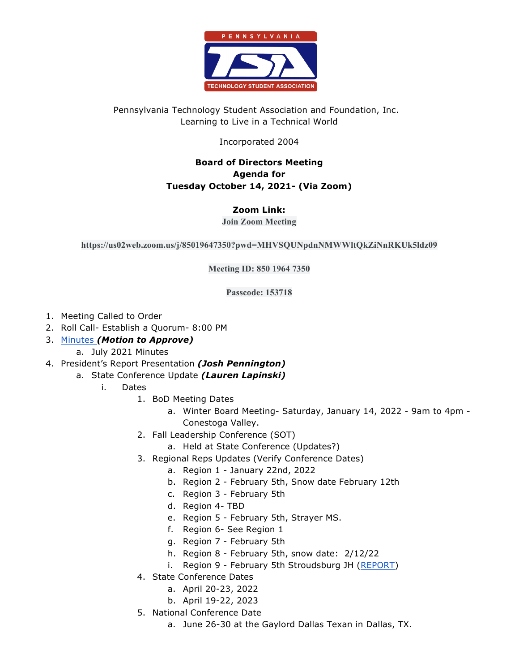

# Pennsylvania Technology Student Association and Foundation, Inc. Learning to Live in a Technical World

## Incorporated 2004

## **Board of Directors Meeting Agenda for Tuesday October 14, 2021- (Via Zoom)**

## **Zoom Link:**

#### **Join Zoom Meeting**

**https://us02web.zoom.us/j/85019647350?pwd=MHVSQUNpdnNMWWltQkZiNnRKUk5ldz09**

**Meeting ID: 850 1964 7350**

**Passcode: 153718**

- 1. Meeting Called to Order
- 2. Roll Call- Establish a Quorum- 8:00 PM
- 3. Minutes *(Motion to Approve)*
	- a. July 2021 Minutes
- 4. President's Report Presentation *(Josh Pennington)*
	- a. State Conference Update *(Lauren Lapinski)*
		- i. Dates
			- 1. BoD Meeting Dates
				- a. Winter Board Meeting- Saturday, January 14, 2022 9am to 4pm Conestoga Valley.
			- 2. Fall Leadership Conference (SOT)
				- a. Held at State Conference (Updates?)
			- 3. Regional Reps Updates (Verify Conference Dates)
				- a. Region 1 January 22nd, 2022
				- b. Region 2 February 5th, Snow date February 12th
				- c. Region 3 February 5th
				- d. Region 4- TBD
				- e. Region 5 February 5th, Strayer MS.
				- f. Region 6- See Region 1
				- g. Region 7 February 5th
				- h. Region 8 February 5th, snow date: 2/12/22
				- i. Region 9 February 5th Stroudsburg JH (REPORT)
			- 4. State Conference Dates
				- a. April 20-23, 2022
				- b. April 19-22, 2023
			- 5. National Conference Date
				- a. June 26-30 at the Gaylord Dallas Texan in Dallas, TX.